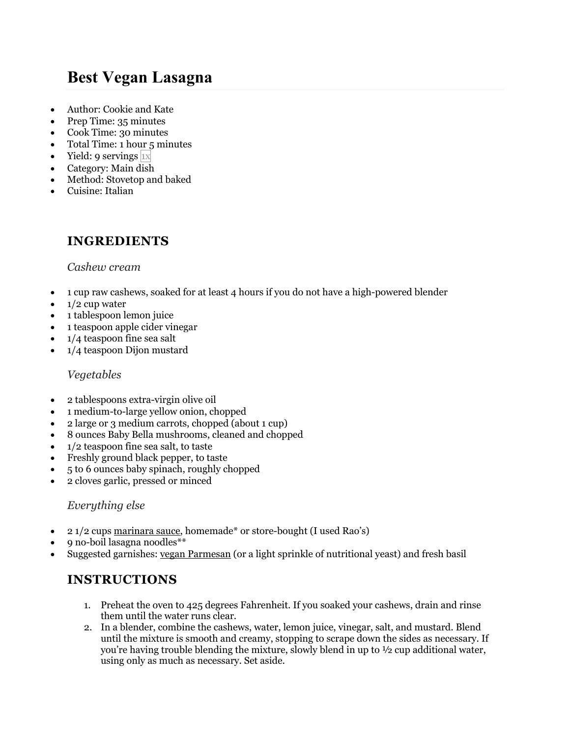# **Best Vegan Lasagna**

- Author: Cookie and Kate
- Prep Time: 35 minutes
- Cook Time: 30 minutes
- Total Time: 1 hour 5 minutes
- Yield: 9 servings 1x
- Category: Main dish
- Method: Stovetop and baked
- Cuisine: Italian

## **INGREDIENTS**

### *Cashew cream*

- 1 cup raw cashews, soaked for at least 4 hours if you do not have a high-powered blender
- $1/2$  cup water
- 1 tablespoon lemon juice
- 1 teaspoon apple cider vinegar
- 1/4 teaspoon fine sea salt
- 1/4 teaspoon Dijon mustard

## *Vegetables*

- 2 tablespoons extra-virgin olive oil
- 1 medium-to-large yellow onion, chopped
- 2 large or 3 medium carrots, chopped (about 1 cup)
- 8 ounces Baby Bella mushrooms, cleaned and chopped
- 1/2 teaspoon fine sea salt, to taste
- Freshly ground black pepper, to taste
- 5 to 6 ounces baby spinach, roughly chopped
- 2 cloves garlic, pressed or minced

### *Everything else*

- 2 1/2 cups marinara sauce, homemade\* or store-bought (I used Rao's)
- 9 no-boil lasagna noodles\*\*
- Suggested garnishes: vegan Parmesan (or a light sprinkle of nutritional yeast) and fresh basil

## **INSTRUCTIONS**

- 1. Preheat the oven to 425 degrees Fahrenheit. If you soaked your cashews, drain and rinse them until the water runs clear.
- 2. In a blender, combine the cashews, water, lemon juice, vinegar, salt, and mustard. Blend until the mixture is smooth and creamy, stopping to scrape down the sides as necessary. If you're having trouble blending the mixture, slowly blend in up to ½ cup additional water, using only as much as necessary. Set aside.